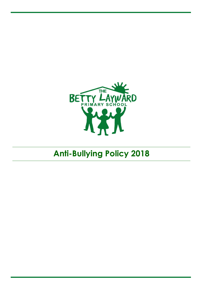

# **Anti-Bullying Policy 2018**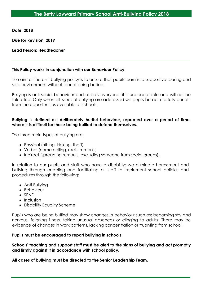**Date: 2018**

**Due for Revision: 2019**

# **Lead Person: Headteacher**

# **This Policy works in conjunction with our Behaviour Policy.**

The aim of the anti-bullying policy is to ensure that pupils learn in a supportive, caring and safe environment without fear of being bullied.

Bullying is anti-social behaviour and affects everyone; it is unacceptable and will not be tolerated. Only when all issues of bullying are addressed will pupils be able to fully benefit from the opportunities available at schools.

# **Bullying is defined as: deliberately hurtful behaviour, repeated over a period of time, where it is difficult for those being bullied to defend themselves.**

The three main types of bullying are:

- Physical (hitting, kicking, theft)
- Verbal (name calling, racist remarks)
- Indirect (spreading rumours, excluding someone from social groups).

In relation to our pupils and staff who have a disability: we eliminate harassment and bullying through enabling and facilitating all staff to implement school policies and procedures through the following:

- Anti-Bullying
- Behaviour
- SEND
- $\bullet$  Inclusion
- Disability Equality Scheme

Pupils who are being bullied may show changes in behaviour such as; becoming shy and nervous, feigning illness, taking unusual absences or clinging to adults. There may be evidence of changes in work patterns, lacking concentration or truanting from school.

# **Pupils must be encouraged to report bullying in schools.**

**Schools' teaching and support staff must be alert to the signs of bullying and act promptly and firmly against it in accordance with school policy.**

**All cases of bullying must be directed to the Senior Leadership Team.**